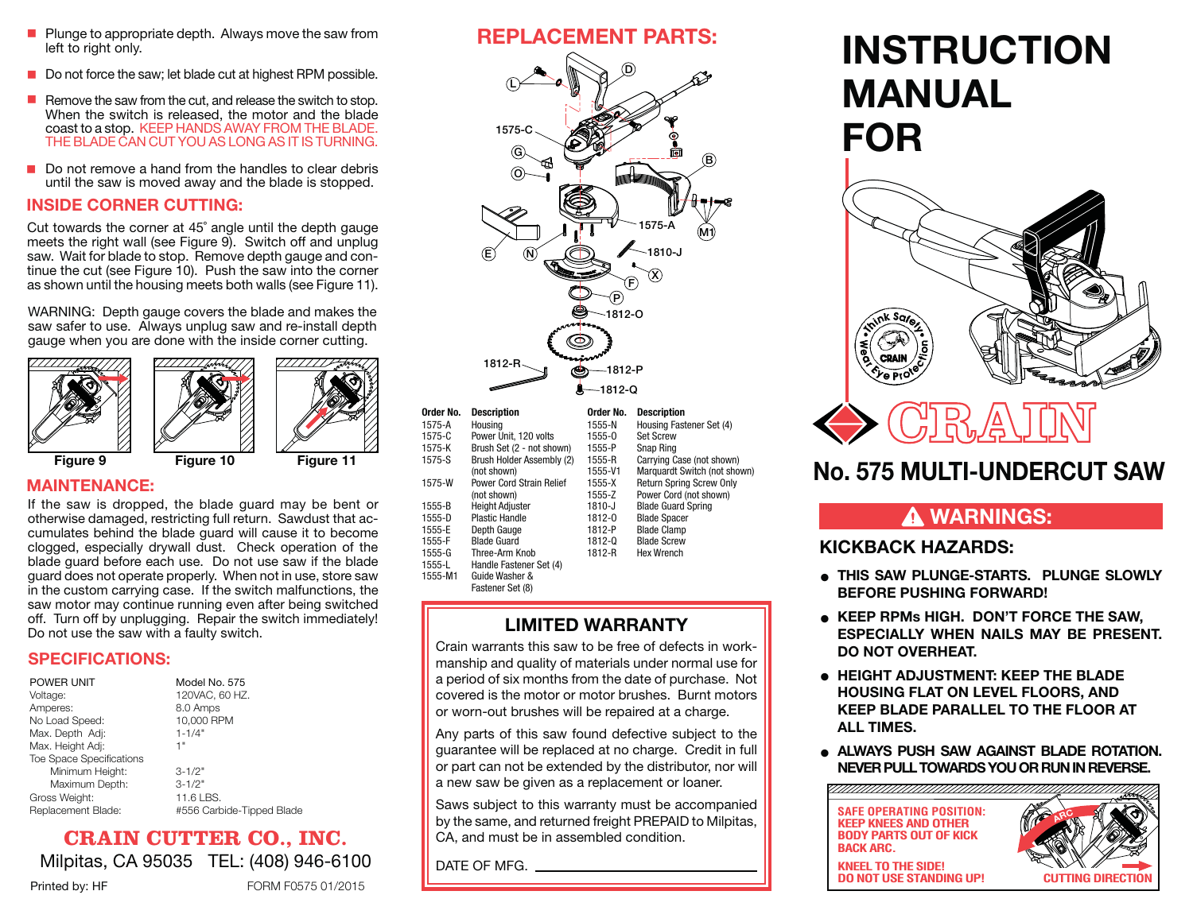- $\blacksquare$  Plunge to appropriate depth. Always move the saw from left to right only.
- Do not force the saw; let blade cut at highest RPM possible.
- Remove the saw from the cut, and release the switch to stop. When the switch is released, the motor and the blade coast to a stop. KEEP HANDS AWAY FROM THE BLADE. THE BLADE CAN CUT YOU AS LONG AS IT IS TURNING.  $\mathcal{L}$
- Do not remove a hand from the handles to clear debris until the saw is moved away and the blade is stopped.

### **INSIDE CORNER CUTTING:**

Cut towards the corner at 45° angle until the depth gauge meets the right wall (see Figure 9). Switch off and unplug saw. Wait for blade to stop. Remove depth gauge and continue the cut (see Figure 10). Push the saw into the corner as shown until the housing meets both walls (see Figure 11).

WARNING: Depth gauge covers the blade and makes the saw safer to use. Always unplug saw and re-install depth gauge when you are done with the inside corner cutting.



If the saw is dropped, the blade guard may be bent or otherwise damaged, restricting full return. Sawdust that accumulates behind the blade guard will cause it to become clogged, especially drywall dust. Check operation of the blade guard before each use. Do not use saw if the blade guard does not operate properly. When not in use, store saw in the custom carrying case. If the switch malfunctions, the saw motor may continue running even after being switched off. Turn off by unplugging. Repair the switch immediately! Do not use the saw with a faulty switch.

# **SPECIFICATIONS:**

| POWER UNIT                      | Model No. 575             |
|---------------------------------|---------------------------|
| Voltage:                        | 120VAC, 60 HZ.            |
| Amperes:                        | 8.0 Amps                  |
| No Load Speed:                  | 10,000 RPM                |
| Max. Depth Adj:                 | $1 - 1/4"$                |
| Max. Height Adj:                | 1"                        |
| <b>Toe Space Specifications</b> |                           |
| Minimum Height:                 | $3 - 1/2"$                |
| Maximum Depth:                  | $3 - 1/2"$                |
| Gross Weight:                   | 11.6 LBS.                 |
| Replacement Blade:              | #556 Carbide-Tipped Blade |
|                                 |                           |

# Milpitas, CA 95035 TEL: (408) 946-6100 **CRAIN CUTTER CO., INC.**

Printed by: HF FORM F0575 01/2015

# **REPLACEMENT PARTS:**



| urger no. | <b>Description</b>        | urger no.  | <b>Description</b>              |                          |
|-----------|---------------------------|------------|---------------------------------|--------------------------|
| 1575-A    | Housing                   | 1555-N     | Housing Fastener Set (4)        |                          |
| 1575-C    | Power Unit, 120 volts     | 1555-0     | <b>Set Screw</b>                |                          |
| 1575-K    | Brush Set (2 - not shown) | 1555-P     | Snap Ring                       |                          |
| 1575-S    | Brush Holder Assembly (2) | 1555-R     | Carrying Case (not shown)       |                          |
|           | (not shown)               | 1555-V1    | Marguardt Switch (not shown)    | No. 575 MULTI-UN         |
| 1575-W    | Power Cord Strain Relief  | $1555 - X$ | <b>Return Spring Screw Only</b> |                          |
|           | (not shown)               | 1555-Z     | Power Cord (not shown)          |                          |
| 1555-B    | <b>Height Adiuster</b>    | 1810-J     | <b>Blade Guard Spring</b>       |                          |
| 1555-D    | <b>Plastic Handle</b>     | 1812-0     | <b>Blade Spacer</b>             | <b>A WARNIN</b>          |
| 1555-E    | Depth Gauge               | 1812-P     | <b>Blade Clamp</b>              |                          |
| 1555-F    | <b>Blade Guard</b>        | 1812-0     | <b>Blade Screw</b>              | <b>KICKBACK HAZARDS:</b> |
| 1555-G    | Three-Arm Knob            | 1812-R     | <b>Hex Wrench</b>               |                          |
| 1555-L    | Handle Fastener Set (4)   |            |                                 |                          |
| 1555-M1   | Guide Washer &            |            |                                 | THIS SAW PLUNGE-START    |
|           | Fastener Set (8)          |            |                                 | BEFABE BUALINIA FABIU    |

### **LIMITED WARRANTY**

Crain warrants this saw to be free of defects in workmanship and quality of materials under normal use for a period of six months from the date of purchase. Not covered is the motor or motor brushes. Burnt motors or worn-out brushes will be repaired at a charge.

Any parts of this saw found defective subject to the guarantee will be replaced at no charge. Credit in full or part can not be extended by the distributor, nor will a new saw be given as a replacement or loaner.

Saws subject to this warranty must be accompanied by the same, and returned freight PREPAID to Milpitas, CA, and must be in assembled condition.

DATE OF MFG.

# **INSTRUCTION MANUAL FOR**



# No. 575 MULTI-UNDERCUT SAW **No. 575 MULTI-UNDERCUT SAW**

# **A WARNINGS:**

### **KICKBACK HAZARDS:**

- t **THIS SAW PLUNGE-STARTS. PLUNGE SLOWLY BEFORE PUSHING FORWARD!**
- t **KEEP RPMs HIGH. DON'T FORCE THE SAW, DO NOT OVERHEAT.**
- **DO NOT OVERHEAT.** t **HEIGHT ADJUSTMENT: KEEP THE BLADE KEEP BLADE PARALLEL TO THE FLOOR AT ALL TIMES.**
- **ALL TIMES.** t **ALWAYS PUSH SAW AGAINST BLADE ROTATION.**

### **NEVER PULL TOWARDS YOU OR RUN IN REVERSE.**

**KEEP KNEES AND OTHER SAFE OPERATING POSITION: AR<sup>C</sup> BODY PARTS OUT OF KICK BACK ARC. KNEEL TO THE SIDE!** 



**DO NOT USE STANDING UP!**